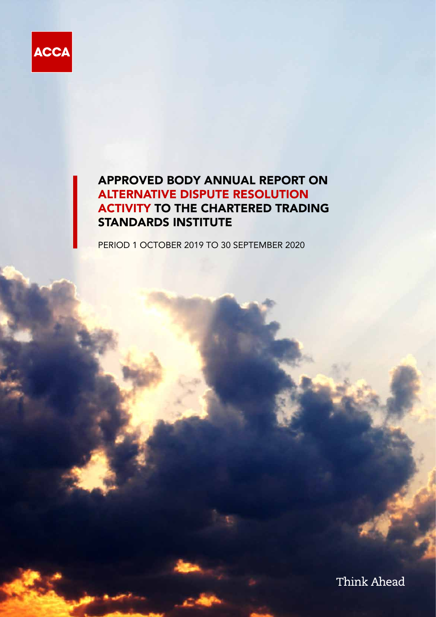

# APPROVED BODY ANNUAL REPORT ON ALTERNATIVE DISPUTE RESOLUTION ACTIVITY TO THE CHARTERED TRADING STANDARDS INSTITUTE

PERIOD 1 OCTOBER 2019 TO 30 SEPTEMBER 2020

Think Ahead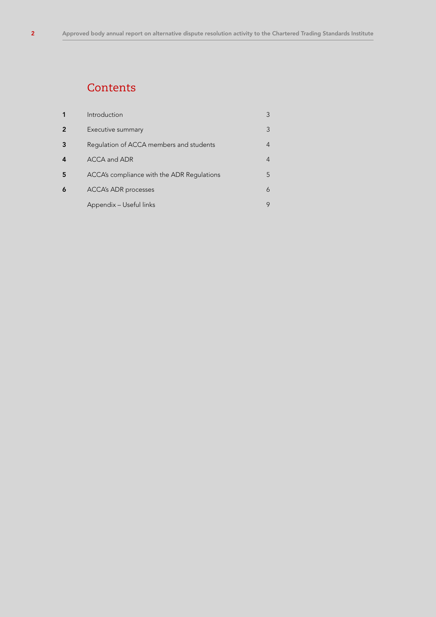# **Contents**

| 1              | Introduction                               | 3 |
|----------------|--------------------------------------------|---|
| $\overline{2}$ | Executive summary                          | 3 |
| 3              | Regulation of ACCA members and students    | 4 |
| 4              | ACCA and ADR                               | 4 |
| 5              | ACCA's compliance with the ADR Regulations | 5 |
| 6              | <b>ACCA's ADR processes</b>                | 6 |
|                | Appendix - Useful links                    | 9 |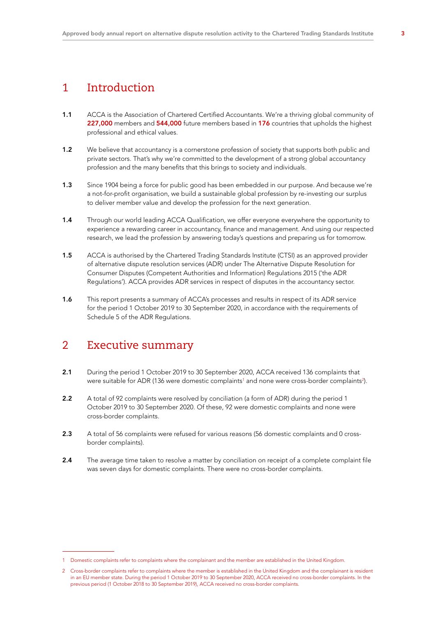## 1 Introduction

- 1.1 ACCA is the Association of Chartered Certified Accountants. We're a thriving global community of 227,000 members and 544,000 future members based in 176 countries that upholds the highest professional and ethical values.
- 1.2 We believe that accountancy is a cornerstone profession of society that supports both public and private sectors. That's why we're committed to the development of a strong global accountancy profession and the many benefits that this brings to society and individuals.
- 1.3 Since 1904 being a force for public good has been embedded in our purpose. And because we're a not-for-profit organisation, we build a sustainable global profession by re-investing our surplus to deliver member value and develop the profession for the next generation.
- 1.4 Through our world leading ACCA Qualification, we offer everyone everywhere the opportunity to experience a rewarding career in accountancy, finance and management. And using our respected research, we lead the profession by answering today's questions and preparing us for tomorrow.
- 1.5 ACCA is authorised by the Chartered Trading Standards Institute (CTSI) as an approved provider of alternative dispute resolution services (ADR) under The Alternative Dispute Resolution for Consumer Disputes (Competent Authorities and Information) Regulations 2015 ('the ADR Regulations'). ACCA provides ADR services in respect of disputes in the accountancy sector.
- 1.6 This report presents a summary of ACCA's processes and results in respect of its ADR service for the period 1 October 2019 to 30 September 2020, in accordance with the requirements of Schedule 5 of the ADR Regulations.

## 2 Executive summary

- 2.1 During the period 1 October 2019 to 30 September 2020, ACCA received 136 complaints that were suitable for ADR (136 were domestic complaints $^{\scriptscriptstyle 1}$  and none were cross-border complaints $^{\scriptscriptstyle 2)}$ .
- 2.2 A total of 92 complaints were resolved by conciliation (a form of ADR) during the period 1 October 2019 to 30 September 2020. Of these, 92 were domestic complaints and none were cross-border complaints.
- 2.3 A total of 56 complaints were refused for various reasons (56 domestic complaints and 0 crossborder complaints).
- 2.4 The average time taken to resolve a matter by conciliation on receipt of a complete complaint file was seven days for domestic complaints. There were no cross-border complaints.

<sup>1</sup> Domestic complaints refer to complaints where the complainant and the member are established in the United Kingdom.

<sup>2</sup> Cross-border complaints refer to complaints where the member is established in the United Kingdom and the complainant is resident in an EU member state. During the period 1 October 2019 to 30 September 2020, ACCA received no cross-border complaints. In the previous period (1 October 2018 to 30 September 2019), ACCA received no cross-border complaints.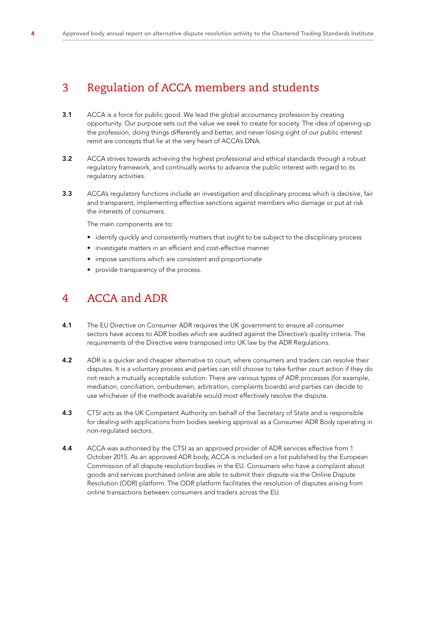# 3 Regulation of ACCA members and students

- **3.1** ACCA is a force for public good. We lead the global accountancy profession by creating opportunity. Our purpose sets out the value we seek to create for society. The idea of opening up the profession, doing things differently and better, and never losing sight of our public interest remit are concepts that lie at the very heart of ACCA's DNA.
- 3.2 ACCA strives towards achieving the highest professional and ethical standards through a robust regulatory framework, and continually works to advance the public interest with regard to its regulatory activities.
- 3.3 ACCA's regulatory functions include an investigation and disciplinary process which is decisive, fair and transparent, implementing effective sanctions against members who damage or put at risk the interests of consumers.

The main components are to:

- identify quickly and consistently matters that ought to be subject to the disciplinary process
- investigate matters in an efficient and cost-effective manner
- impose sanctions which are consistent and proportionate
- provide transparency of the process.

## 4 ACCA and ADR

- 4.1 The EU Directive on Consumer ADR requires the UK government to ensure all consumer sectors have access to ADR bodies which are audited against the Directive's quality criteria. The requirements of the Directive were transposed into UK law by the ADR Regulations.
- 4.2 ADR is a quicker and cheaper alternative to court, where consumers and traders can resolve their disputes. It is a voluntary process and parties can still choose to take further court action if they do not reach a mutually acceptable solution. There are various types of ADR processes (for example, mediation, conciliation, ombudsmen, arbitration, complaints boards) and parties can decide to use whichever of the methods available would most effectively resolve the dispute.
- 4.3 CTSI acts as the UK Competent Authority on behalf of the Secretary of State and is responsible for dealing with applications from bodies seeking approval as a Consumer ADR Body operating in non-regulated sectors.
- 4.4 ACCA was authorised by the CTSI as an approved provider of ADR services effective from 1 October 2015. As an approved ADR body, ACCA is included on a list published by the European Commission of all dispute resolution bodies in the EU. Consumers who have a complaint about goods and services purchased online are able to submit their dispute via the Online Dispute Resolution (ODR) platform. The ODR platform facilitates the resolution of disputes arising from online transactions between consumers and traders across the EU.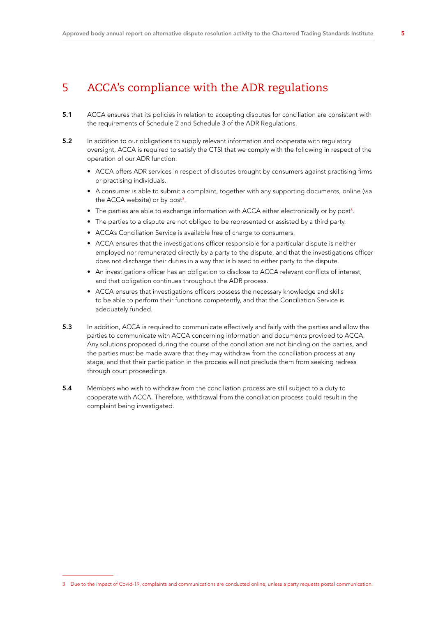# 5 ACCA's compliance with the ADR regulations

- 5.1 ACCA ensures that its policies in relation to accepting disputes for conciliation are consistent with the requirements of Schedule 2 and Schedule 3 of the ADR Regulations.
- 5.2 In addition to our obligations to supply relevant information and cooperate with regulatory oversight, ACCA is required to satisfy the CTSI that we comply with the following in respect of the operation of our ADR function:
	- ACCA offers ADR services in respect of disputes brought by consumers against practising firms or practising individuals.
	- A consumer is able to submit a complaint, together with any supporting documents, online (via the ACCA website) or by post<sup>3</sup>.
	- The parties are able to exchange information with ACCA either electronically or by post<sup>3</sup>.
	- The parties to a dispute are not obliged to be represented or assisted by a third party.
	- ACCA's Conciliation Service is available free of charge to consumers.
	- ACCA ensures that the investigations officer responsible for a particular dispute is neither employed nor remunerated directly by a party to the dispute, and that the investigations officer does not discharge their duties in a way that is biased to either party to the dispute.
	- An investigations officer has an obligation to disclose to ACCA relevant conflicts of interest, and that obligation continues throughout the ADR process.
	- ACCA ensures that investigations officers possess the necessary knowledge and skills to be able to perform their functions competently, and that the Conciliation Service is adequately funded.
- 5.3 In addition, ACCA is required to communicate effectively and fairly with the parties and allow the parties to communicate with ACCA concerning information and documents provided to ACCA. Any solutions proposed during the course of the conciliation are not binding on the parties, and the parties must be made aware that they may withdraw from the conciliation process at any stage, and that their participation in the process will not preclude them from seeking redress through court proceedings.
- 5.4 Members who wish to withdraw from the conciliation process are still subject to a duty to cooperate with ACCA. Therefore, withdrawal from the conciliation process could result in the complaint being investigated.

<sup>3</sup> Due to the impact of Covid-19, complaints and communications are conducted online, unless a party requests postal communication.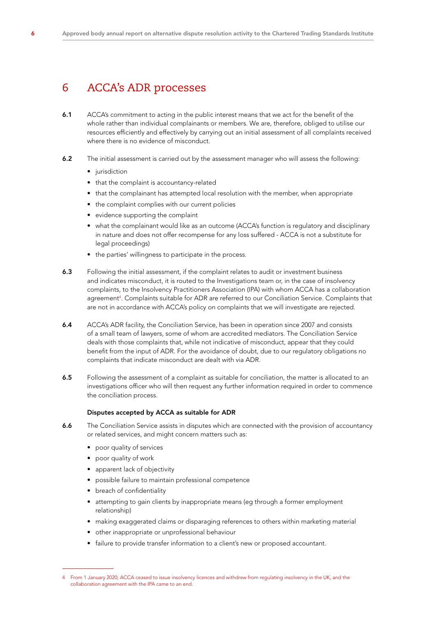## 6 ACCA's ADR processes

- 6.1 ACCA's commitment to acting in the public interest means that we act for the benefit of the whole rather than individual complainants or members. We are, therefore, obliged to utilise our resources efficiently and effectively by carrying out an initial assessment of all complaints received where there is no evidence of misconduct.
- 6.2 The initial assessment is carried out by the assessment manager who will assess the following:
	- jurisdiction
	- that the complaint is accountancy-related
	- that the complainant has attempted local resolution with the member, when appropriate
	- the complaint complies with our current policies
	- evidence supporting the complaint
	- what the complainant would like as an outcome (ACCA's function is regulatory and disciplinary in nature and does not offer recompense for any loss suffered - ACCA is not a substitute for legal proceedings)
	- the parties' willingness to participate in the process.
- 6.3 Following the initial assessment, if the complaint relates to audit or investment business and indicates misconduct, it is routed to the Investigations team or, in the case of insolvency complaints, to the Insolvency Practitioners Association (IPA) with whom ACCA has a collaboration agreement4 . Complaints suitable for ADR are referred to our Conciliation Service. Complaints that are not in accordance with ACCA's policy on complaints that we will investigate are rejected.
- 6.4 ACCA's ADR facility, the Conciliation Service, has been in operation since 2007 and consists of a small team of lawyers, some of whom are accredited mediators. The Conciliation Service deals with those complaints that, while not indicative of misconduct, appear that they could benefit from the input of ADR. For the avoidance of doubt, due to our regulatory obligations no complaints that indicate misconduct are dealt with via ADR.
- 6.5 Following the assessment of a complaint as suitable for conciliation, the matter is allocated to an investigations officer who will then request any further information required in order to commence the conciliation process.

### Disputes accepted by ACCA as suitable for ADR

- 6.6 The Conciliation Service assists in disputes which are connected with the provision of accountancy or related services, and might concern matters such as:
	- poor quality of services
	- poor quality of work
	- apparent lack of objectivity
	- possible failure to maintain professional competence
	- breach of confidentiality
	- attempting to gain clients by inappropriate means (eg through a former employment relationship)
	- making exaggerated claims or disparaging references to others within marketing material
	- other inappropriate or unprofessional behaviour
	- failure to provide transfer information to a client's new or proposed accountant.

<sup>4</sup> From 1 January 2020, ACCA ceased to issue insolvency licences and withdrew from regulating insolvency in the UK, and the collaboration agreement with the IPA came to an end.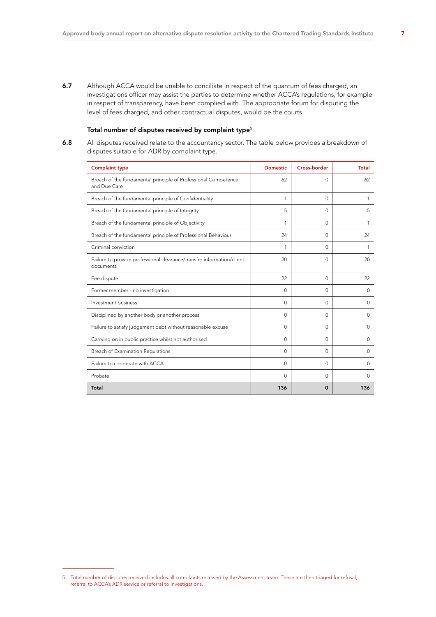6.7 Although ACCA would be unable to conciliate in respect of the quantum of fees charged, an investigations officer may assist the parties to determine whether ACCA's regulations, for example in respect of transparency, have been complied with. The appropriate forum for disputing the level of fees charged, and other contractual disputes, would be the courts.

## Total number of disputes received by complaint type<sup>5</sup>

6.8 All disputes received relate to the accountancy sector. The table below provides a breakdown of disputes suitable for ADR by complaint type.

| <b>Complaint type</b>                                                              | <b>Domestic</b> | <b>Cross-border</b> | <b>Total</b> |
|------------------------------------------------------------------------------------|-----------------|---------------------|--------------|
| Breach of the fundamental principle of Professional Competence<br>and Due Care     | 62              | $\Omega$            | 62           |
| Breach of the fundamental principle of Confidentiality                             | $\mathbf{1}$    | $\Omega$            | 1            |
| Breach of the fundamental principle of Integrity                                   | 5               | $\Omega$            | 5            |
| Breach of the fundamental principle of Objectivity                                 | 1               | $\Omega$            | 1            |
| Breach of the fundamental principle of Professional Behaviour                      | 24              | $\Omega$            | 24           |
| Criminal conviction                                                                | 1               | $\Omega$            | 1            |
| Failure to provide professional clearance/transfer information/client<br>documents | 20              | $\Omega$            | 20           |
| Fee dispute                                                                        | 22              | $\Omega$            | 22           |
| Former member - no investigation                                                   | $\Omega$        | $\Omega$            | $\Omega$     |
| Investment business                                                                | $\Omega$        | $\Omega$            | $\mathbf{0}$ |
| Disciplined by another body or another process                                     | $\Omega$        | $\Omega$            | $\Omega$     |
| Failure to satisfy judgement debt without reasonable excuse                        | $\Omega$        | $\Omega$            | $\Omega$     |
| Carrying on in public practice whilst not authorised                               | $\Omega$        | $\Omega$            | $\mathbf{O}$ |
| Breach of Examination Regulations                                                  | $\Omega$        | $\Omega$            | $\Omega$     |
| Failure to cooperate with ACCA                                                     | $\Omega$        | $\Omega$            | $\Omega$     |
| Probate                                                                            | $\Omega$        | $\Omega$            | $\Omega$     |
| Total                                                                              | 136             | $\Omega$            | 136          |

<sup>5</sup> Total number of disputes received includes all complaints received by the Assessment team. These are then triaged for refusal, referral to ACCA's ADR service or referral to Investigations.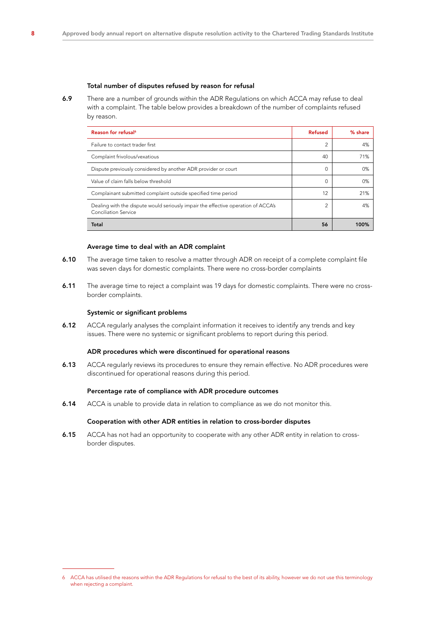## Total number of disputes refused by reason for refusal

6.9 There are a number of grounds within the ADR Regulations on which ACCA may refuse to deal with a complaint. The table below provides a breakdown of the number of complaints refused by reason.

| Reason for refusal <sup>6</sup>                                                                                  | <b>Refused</b> | % share |
|------------------------------------------------------------------------------------------------------------------|----------------|---------|
| Failure to contact trader first                                                                                  | 2              | 4%      |
| Complaint frivolous/vexatious                                                                                    | 40             | 71%     |
| Dispute previously considered by another ADR provider or court                                                   | 0              | 0%      |
| Value of claim falls below threshold                                                                             | 0              | 0%      |
| Complainant submitted complaint outside specified time period                                                    | 12             | 21%     |
| Dealing with the dispute would seriously impair the effective operation of ACCA's<br><b>Conciliation Service</b> | $\mathcal{P}$  | 4%      |
| Total                                                                                                            | 56             | 100%    |

#### Average time to deal with an ADR complaint

- 6.10 The average time taken to resolve a matter through ADR on receipt of a complete complaint file was seven days for domestic complaints. There were no cross-border complaints
- 6.11 The average time to reject a complaint was 19 days for domestic complaints. There were no crossborder complaints.

#### Systemic or significant problems

6.12 ACCA regularly analyses the complaint information it receives to identify any trends and key issues. There were no systemic or significant problems to report during this period.

#### ADR procedures which were discontinued for operational reasons

6.13 ACCA regularly reviews its procedures to ensure they remain effective. No ADR procedures were discontinued for operational reasons during this period.

## Percentage rate of compliance with ADR procedure outcomes

**6.14** ACCA is unable to provide data in relation to compliance as we do not monitor this.

### Cooperation with other ADR entities in relation to cross-border disputes

6.15 ACCA has not had an opportunity to cooperate with any other ADR entity in relation to crossborder disputes.

<sup>6</sup> ACCA has utilised the reasons within the ADR Regulations for refusal to the best of its ability, however we do not use this terminology when rejecting a complaint.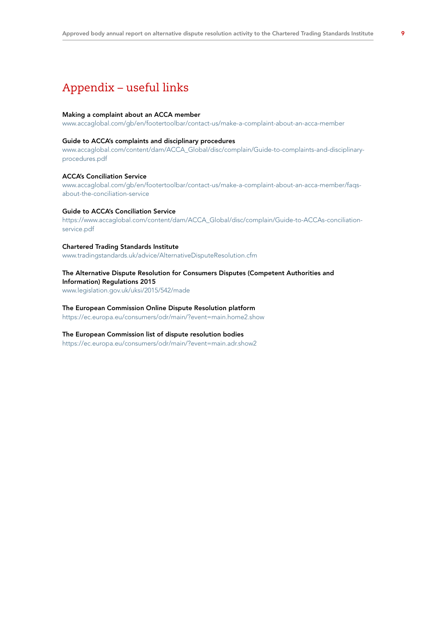# Appendix – useful links

#### Making a complaint about an ACCA member

[www.accaglobal.com/gb/en/footertoolbar/contact-us/make-a-complaint-about-an-acca-member](http://www.accaglobal.com/gb/en/footertoolbar/contact-us/make-a-complaint-about-an-acca-member )

#### Guide to ACCA's complaints and disciplinary procedures

[www.accaglobal.com/content/dam/ACCA\\_Global/disc/complain/Guide-to-complaints-and-disciplinary](http://www.accaglobal.com/content/dam/ACCA_Global/disc/complain/Guide-to-complaints-and-disciplinary-proced)[procedures.pdf](http://www.accaglobal.com/content/dam/ACCA_Global/disc/complain/Guide-to-complaints-and-disciplinary-proced)

#### ACCA's Conciliation Service

[www.accaglobal.com/gb/en/footertoolbar/contact-us/make-a-complaint-about-an-acca-member/faqs](http://www.accaglobal.com/gb/en/footertoolbar/contact-us/make-a-complaint-about-an-acca-member/faqs-about-t)[about-the-conciliation-service](http://www.accaglobal.com/gb/en/footertoolbar/contact-us/make-a-complaint-about-an-acca-member/faqs-about-t)

#### Guide to ACCA's Conciliation Service

[https://www.accaglobal.com/content/dam/ACCA\\_Global/disc/complain/Guide-to-ACCAs-conciliation](https://www.accaglobal.com/content/dam/ACCA_Global/disc/complain/Guide-to-ACCAs-conciliation-service)[service.pdf](https://www.accaglobal.com/content/dam/ACCA_Global/disc/complain/Guide-to-ACCAs-conciliation-service)

#### Chartered Trading Standards Institute

[www.tradingstandards.uk/advice/AlternativeDisputeResolution.cfm](http://www.tradingstandards.uk/advice/AlternativeDisputeResolution.cfm )

### The Alternative Dispute Resolution for Consumers Disputes (Competent Authorities and Information) Regulations 2015

[www.legislation.gov.uk/uksi/2015/542/made](http://www.legislation.gov.uk/uksi/2015/542/made )

#### The European Commission Online Dispute Resolution platform

[https://ec.europa.eu/consumers/odr/main/?event=main.home2.show](https://ec.europa.eu/consumers/odr/main/?event=main.home2.show )

#### The European Commission list of dispute resolution bodies

<https://ec.europa.eu/consumers/odr/main/?event=main.adr.show2>